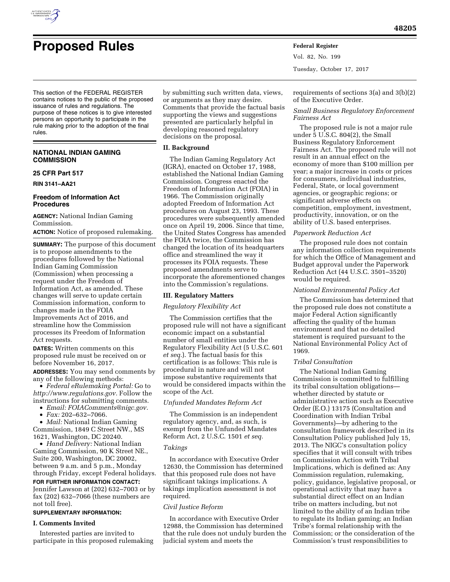

Vol. 82, No. 199 Tuesday, October 17, 2017

This section of the FEDERAL REGISTER contains notices to the public of the proposed issuance of rules and regulations. The purpose of these notices is to give interested persons an opportunity to participate in the rule making prior to the adoption of the final rules.

## **NATIONAL INDIAN GAMING COMMISSION**

## **25 CFR Part 517**

**RIN 3141–AA21** 

### **Freedom of Information Act Procedures**

**AGENCY:** National Indian Gaming Commission.

**ACTION:** Notice of proposed rulemaking.

**SUMMARY:** The purpose of this document is to propose amendments to the procedures followed by the National Indian Gaming Commission (Commission) when processing a request under the Freedom of Information Act, as amended. These changes will serve to update certain Commission information, conform to changes made in the FOIA Improvements Act of 2016, and streamline how the Commission processes its Freedom of Information Act requests.

**DATES:** Written comments on this proposed rule must be received on or before November 16, 2017.

**ADDRESSES:** You may send comments by any of the following methods:

• *Federal eRulemaking Portal:* Go to *[http://www.regulations.gov.](http://www.regulations.gov)* Follow the instructions for submitting comments.

• *Email: [FOIAComments@nigc.gov.](mailto:FOIAComments@nigc.gov)* 

• *Fax:* 202–632–7066.

• *Mail:* National Indian Gaming Commission, 1849 C Street NW., MS 1621, Washington, DC 20240.

• *Hand Delivery:* National Indian Gaming Commission, 90 K Street NE., Suite 200, Washington, DC 20002, between 9 a.m. and 5 p.m., Monday through Friday, except Federal holidays. **FOR FURTHER INFORMATION CONTACT:**  Jennifer Lawson at (202) 632–7003 or by

fax (202) 632–7066 (these numbers are not toll free).

# **SUPPLEMENTARY INFORMATION:**

## **I. Comments Invited**

Interested parties are invited to participate in this proposed rulemaking by submitting such written data, views, or arguments as they may desire. Comments that provide the factual basis supporting the views and suggestions presented are particularly helpful in developing reasoned regulatory decisions on the proposal.

## **II. Background**

The Indian Gaming Regulatory Act (IGRA), enacted on October 17, 1988, established the National Indian Gaming Commission. Congress enacted the Freedom of Information Act (FOIA) in 1966. The Commission originally adopted Freedom of Information Act procedures on August 23, 1993. These procedures were subsequently amended once on April 19, 2006. Since that time, the United States Congress has amended the FOIA twice, the Commission has changed the location of its headquarters office and streamlined the way it processes its FOIA requests. These proposed amendments serve to incorporate the aforementioned changes into the Commission's regulations.

### **III. Regulatory Matters**

*Regulatory Flexibility Act* 

The Commission certifies that the proposed rule will not have a significant economic impact on a substantial number of small entities under the Regulatory Flexibility Act (5 U.S.C. 601 *et seq.*). The factual basis for this certification is as follows: This rule is procedural in nature and will not impose substantive requirements that would be considered impacts within the scope of the Act.

## *Unfunded Mandates Reform Act*

The Commission is an independent regulatory agency, and, as such, is exempt from the Unfunded Mandates Reform Act, 2 U.S.C. 1501 *et seq.* 

## *Takings*

In accordance with Executive Order 12630, the Commission has determined that this proposed rule does not have significant takings implications. A takings implication assessment is not required.

### *Civil Justice Reform*

In accordance with Executive Order 12988, the Commission has determined that the rule does not unduly burden the judicial system and meets the

requirements of sections 3(a) and 3(b)(2) of the Executive Order.

## *Small Business Regulatory Enforcement Fairness Act*

The proposed rule is not a major rule under 5 U.S.C. 804(2), the Small Business Regulatory Enforcement Fairness Act. The proposed rule will not result in an annual effect on the economy of more than \$100 million per year; a major increase in costs or prices for consumers, individual industries, Federal, State, or local government agencies, or geographic regions; or significant adverse effects on competition, employment, investment, productivity, innovation, or on the ability of U.S. based enterprises.

### *Paperwork Reduction Act*

The proposed rule does not contain any information collection requirements for which the Office of Management and Budget approval under the Paperwork Reduction Act (44 U.S.C. 3501–3520) would be required.

#### *National Environmental Policy Act*

The Commission has determined that the proposed rule does not constitute a major Federal Action significantly affecting the quality of the human environment and that no detailed statement is required pursuant to the National Environmental Policy Act of 1969.

## *Tribal Consultation*

The National Indian Gaming Commission is committed to fulfilling its tribal consultation obligations whether directed by statute or administrative action such as Executive Order (E.O.) 13175 (Consultation and Coordination with Indian Tribal Governments)—by adhering to the consultation framework described in its Consultation Policy published July 15, 2013. The NIGC's consultation policy specifies that it will consult with tribes on Commission Action with Tribal Implications, which is defined as: Any Commission regulation, rulemaking, policy, guidance, legislative proposal, or operational activity that may have a substantial direct effect on an Indian tribe on matters including, but not limited to the ability of an Indian tribe to regulate its Indian gaming; an Indian Tribe's formal relationship with the Commission; or the consideration of the Commission's trust responsibilities to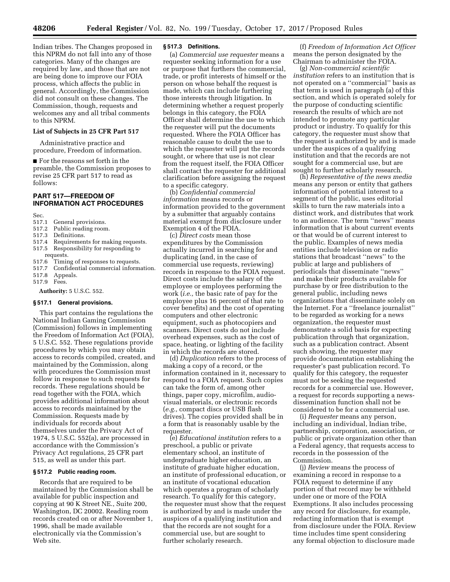Indian tribes. The Changes proposed in this NPRM do not fall into any of those categories. Many of the changes are required by law, and those that are not are being done to improve our FOIA process, which affects the public in general. Accordingly, the Commission did not consult on these changes. The Commission, though, requests and welcomes any and all tribal comments to this NPRM.

#### **List of Subjects in 25 CFR Part 517**

Administrative practice and procedure, Freedom of information.

■ For the reasons set forth in the preamble, the Commission proposes to revise 25 CFR part 517 to read as follows:

## **PART 517—FREEDOM OF INFORMATION ACT PROCEDURES**

Sec.

- 517.1 General provisions.<br>517.2 Public reading roon
- Public reading room.
- 517.3 Definitions.
- 517.4 Requirements for making requests. 517.5 Responsibility for responding to
- 
- requests.<br>517.6 Timir Timing of responses to requests.
- 517.7 Confidential commercial information.
- 517.8 Appeals.
- 517.9 Fees.

**Authority:** 5 U.S.C. 552.

#### **§ 517.1 General provisions.**

This part contains the regulations the National Indian Gaming Commission (Commission) follows in implementing the Freedom of Information Act (FOIA), 5 U.S.C. 552. These regulations provide procedures by which you may obtain access to records compiled, created, and maintained by the Commission, along with procedures the Commission must follow in response to such requests for records. These regulations should be read together with the FOIA, which provides additional information about access to records maintained by the Commission. Requests made by individuals for records about themselves under the Privacy Act of 1974, 5 U.S.C. 552(a), are processed in accordance with the Commission's Privacy Act regulations, 25 CFR part 515, as well as under this part.

## **§ 517.2 Public reading room.**

Records that are required to be maintained by the Commission shall be available for public inspection and copying at 90 K Street NE., Suite 200, Washington, DC 20002. Reading room records created on or after November 1, 1996, shall be made available electronically via the Commission's Web site.

#### **§ 517.3 Definitions.**

(a) *Commercial use requester* means a requester seeking information for a use or purpose that furthers the commercial, trade, or profit interests of himself or the person on whose behalf the request is made, which can include furthering those interests through litigation. In determining whether a request properly belongs in this category, the FOIA Officer shall determine the use to which the requester will put the documents requested. Where the FOIA Officer has reasonable cause to doubt the use to which the requester will put the records sought, or where that use is not clear from the request itself, the FOIA Officer shall contact the requester for additional clarification before assigning the request to a specific category.

(b) *Confidential commercial information* means records or information provided to the government by a submitter that arguably contains material exempt from disclosure under Exemption 4 of the FOIA.

(c) *Direct costs* mean those expenditures by the Commission actually incurred in searching for and duplicating (and, in the case of commercial use requests, reviewing) records in response to the FOIA request. Direct costs include the salary of the employee or employees performing the work (*i.e.,* the basic rate of pay for the employee plus 16 percent of that rate to cover benefits) and the cost of operating computers and other electronic equipment, such as photocopiers and scanners. Direct costs do not include overhead expenses, such as the cost of space, heating, or lighting of the facility in which the records are stored.

(d) *Duplication* refers to the process of making a copy of a record, or the information contained in it, necessary to respond to a FOIA request. Such copies can take the form of, among other things, paper copy, microfilm, audiovisual materials, or electronic records (*e.g.,* compact discs or USB flash drives). The copies provided shall be in a form that is reasonably usable by the requester.

(e) *Educational institution* refers to a preschool, a public or private elementary school, an institute of undergraduate higher education, an institute of graduate higher education, an institute of professional education, or an institute of vocational education which operates a program of scholarly research. To qualify for this category, the requester must show that the request is authorized by and is made under the auspices of a qualifying institution and that the records are not sought for a commercial use, but are sought to further scholarly research.

(f) *Freedom of Information Act Officer*  means the person designated by the Chairman to administer the FOIA.

(g) *Non-commercial scientific institution* refers to an institution that is not operated on a ''commercial'' basis as that term is used in paragraph (a) of this section, and which is operated solely for the purpose of conducting scientific research the results of which are not intended to promote any particular product or industry. To qualify for this category, the requester must show that the request is authorized by and is made under the auspices of a qualifying institution and that the records are not sought for a commercial use, but are sought to further scholarly research.

(h) *Representative of the news media*  means any person or entity that gathers information of potential interest to a segment of the public, uses editorial skills to turn the raw materials into a distinct work, and distributes that work to an audience. The term ''news'' means information that is about current events or that would be of current interest to the public. Examples of news media entities include television or radio stations that broadcast ''news'' to the public at large and publishers of periodicals that disseminate ''news'' and make their products available for purchase by or free distribution to the general public, including news organizations that disseminate solely on the Internet. For a ''freelance journalist'' to be regarded as working for a news organization, the requester must demonstrate a solid basis for expecting publication through that organization, such as a publication contract. Absent such showing, the requester may provide documentation establishing the requester's past publication record. To qualify for this category, the requester must not be seeking the requested records for a commercial use. However, a request for records supporting a newsdissemination function shall not be considered to be for a commercial use.

(i) *Requester* means any person, including an individual, Indian tribe, partnership, corporation, association, or public or private organization other than a Federal agency, that requests access to records in the possession of the Commission.

(j) *Review* means the process of examining a record in response to a FOIA request to determine if any portion of that record may be withheld under one or more of the FOIA Exemptions. It also includes processing any record for disclosure, for example, redacting information that is exempt from disclosure under the FOIA. Review time includes time spent considering any formal objection to disclosure made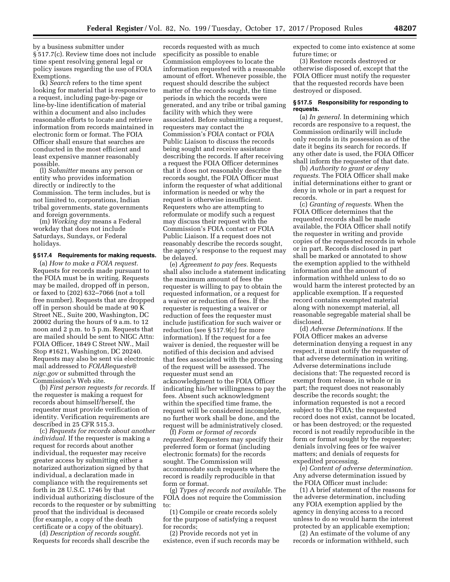by a business submitter under § 517.7(c). Review time does not include time spent resolving general legal or policy issues regarding the use of FOIA Exemptions.

(k) *Search* refers to the time spent looking for material that is responsive to a request, including page-by-page or line-by-line identification of material within a document and also includes reasonable efforts to locate and retrieve information from records maintained in electronic form or format. The FOIA Officer shall ensure that searches are conducted in the most efficient and least expensive manner reasonably possible.

(l) *Submitter* means any person or entity who provides information directly or indirectly to the Commission. The term includes, but is not limited to, corporations, Indian tribal governments, state governments and foreign governments.

(m) *Working day* means a Federal workday that does not include Saturdays, Sundays, or Federal holidays.

### **§ 517.4 Requirements for making requests.**

(a) *How to make a FOIA request.*  Requests for records made pursuant to the FOIA must be in writing. Requests may be mailed, dropped off in person, or faxed to (202) 632–7066 (not a toll free number). Requests that are dropped off in person should be made at 90 K Street NE., Suite 200, Washington, DC 20002 during the hours of 9 a.m. to 12 noon and 2 p.m. to 5 p.m. Requests that are mailed should be sent to NIGC Attn: FOIA Officer, 1849 C Street NW., Mail Stop #1621, Washington, DC 20240. Requests may also be sent via electronic mail addressed to *[FOIARequests@](mailto:FOIARequests@nigc.gov) [nigc.gov](mailto:FOIARequests@nigc.gov)* or submitted through the Commission's Web site.

(b) *First person requests for records.* If the requester is making a request for records about himself/herself, the requester must provide verification of identity. Verification requirements are described in 25 CFR 515.3.

(c) *Requests for records about another individual.* If the requester is making a request for records about another individual, the requester may receive greater access by submitting either a notarized authorization signed by that individual, a declaration made in compliance with the requirements set forth in 28 U.S.C. 1746 by that individual authorizing disclosure of the records to the requester or by submitting proof that the individual is deceased (for example, a copy of the death certificate or a copy of the obituary).

(d) *Description of records sought.*  Requests for records shall describe the

records requested with as much specificity as possible to enable Commission employees to locate the information requested with a reasonable amount of effort. Whenever possible, the request should describe the subject matter of the records sought, the time periods in which the records were generated, and any tribe or tribal gaming facility with which they were associated. Before submitting a request, requesters may contact the Commission's FOIA contact or FOIA Public Liaison to discuss the records being sought and receive assistance describing the records. If after receiving a request the FOIA Officer determines that it does not reasonably describe the records sought, the FOIA Officer must inform the requester of what additional information is needed or why the request is otherwise insufficient. Requesters who are attempting to reformulate or modify such a request may discuss their request with the Commission's FOIA contact or FOIA Public Liaison. If a request does not reasonably describe the records sought, the agency's response to the request may be delayed.

(e) *Agreement to pay fees.* Requests shall also include a statement indicating the maximum amount of fees the requester is willing to pay to obtain the requested information, or a request for a waiver or reduction of fees. If the requester is requesting a waiver or reduction of fees the requester must include justification for such waiver or reduction (see § 517.9(c) for more information). If the request for a fee waiver is denied, the requester will be notified of this decision and advised that fees associated with the processing of the request will be assessed. The requester must send an acknowledgment to the FOIA Officer indicating his/her willingness to pay the fees. Absent such acknowledgment within the specified time frame, the request will be considered incomplete, no further work shall be done, and the request will be administratively closed.

(f) *Form or format of records requested.* Requesters may specify their preferred form or format (including electronic formats) for the records sought. The Commission will accommodate such requests where the record is readily reproducible in that form or format.

(g) *Types of records not available.* The FOIA does not require the Commission to:

(1) Compile or create records solely for the purpose of satisfying a request for records;

(2) Provide records not yet in existence, even if such records may be expected to come into existence at some future time; or

(3) Restore records destroyed or otherwise disposed of, except that the FOIA Officer must notify the requester that the requested records have been destroyed or disposed.

## **§ 517.5 Responsibility for responding to requests.**

(a) *In general.* In determining which records are responsive to a request, the Commission ordinarily will include only records in its possession as of the date it begins its search for records. If any other date is used, the FOIA Officer shall inform the requester of that date.

(b) *Authority to grant or deny requests.* The FOIA Officer shall make initial determinations either to grant or deny in whole or in part a request for records.

(c) *Granting of requests.* When the FOIA Officer determines that the requested records shall be made available, the FOIA Officer shall notify the requester in writing and provide copies of the requested records in whole or in part. Records disclosed in part shall be marked or annotated to show the exemption applied to the withheld information and the amount of information withheld unless to do so would harm the interest protected by an applicable exemption. If a requested record contains exempted material along with nonexempt material, all reasonable segregable material shall be disclosed.

(d) *Adverse Determinations.* If the FOIA Officer makes an adverse determination denying a request in any respect, it must notify the requester of that adverse determination in writing. Adverse determinations include decisions that: The requested record is exempt from release, in whole or in part; the request does not reasonably describe the records sought; the information requested is not a record subject to the FOIA; the requested record does not exist, cannot be located, or has been destroyed; or the requested record is not readily reproducible in the form or format sought by the requester; denials involving fees or fee waiver matters; and denials of requests for expedited processing.

(e) *Content of adverse determination.*  Any adverse determination issued by the FOIA Officer must include:

(1) A brief statement of the reasons for the adverse determination, including any FOIA exemption applied by the agency in denying access to a record unless to do so would harm the interest protected by an applicable exemption;

(2) An estimate of the volume of any records or information withheld, such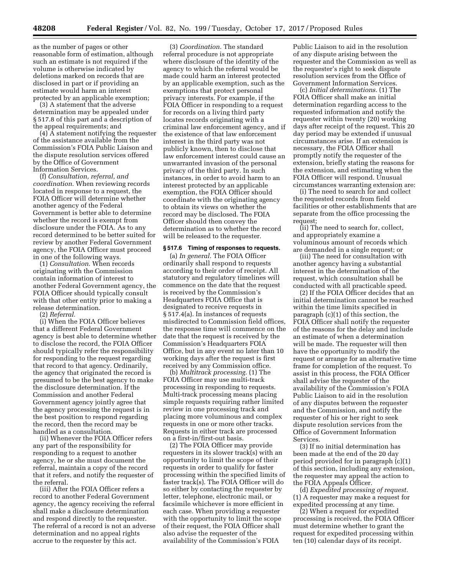as the number of pages or other reasonable form of estimation, although such an estimate is not required if the volume is otherwise indicated by deletions marked on records that are disclosed in part or if providing an estimate would harm an interest protected by an applicable exemption;

(3) A statement that the adverse determination may be appealed under § 517.8 of this part and a description of the appeal requirements; and

 $(4)$   $\overline{A}$  statement notifying the requester of the assistance available from the Commission's FOIA Public Liaison and the dispute resolution services offered by the Office of Government Information Services.

(f) *Consultation, referral, and coordination.* When reviewing records located in response to a request, the FOIA Officer will determine whether another agency of the Federal Government is better able to determine whether the record is exempt from disclosure under the FOIA. As to any record determined to be better suited for review by another Federal Government agency, the FOIA Officer must proceed in one of the following ways.

(1) *Consultation.* When records originating with the Commission contain information of interest to another Federal Government agency, the FOIA Officer should typically consult with that other entity prior to making a release determination.

(2) *Referral.* 

(i) When the FOIA Officer believes that a different Federal Government agency is best able to determine whether to disclose the record, the FOIA Officer should typically refer the responsibility for responding to the request regarding that record to that agency. Ordinarily, the agency that originated the record is presumed to be the best agency to make the disclosure determination. If the Commission and another Federal Government agency jointly agree that the agency processing the request is in the best position to respond regarding the record, then the record may be handled as a consultation.

(ii) Whenever the FOIA Officer refers any part of the responsibility for responding to a request to another agency, he or she must document the referral, maintain a copy of the record that it refers, and notify the requester of the referral.

(iii) After the FOIA Officer refers a record to another Federal Government agency, the agency receiving the referral shall make a disclosure determination and respond directly to the requester. The referral of a record is not an adverse determination and no appeal rights accrue to the requester by this act.

(3) *Coordination.* The standard referral procedure is not appropriate where disclosure of the identity of the agency to which the referral would be made could harm an interest protected by an applicable exemption, such as the exemptions that protect personal privacy interests. For example, if the FOIA Officer in responding to a request for records on a living third party locates records originating with a criminal law enforcement agency, and if the existence of that law enforcement interest in the third party was not publicly known, then to disclose that law enforcement interest could cause an unwarranted invasion of the personal privacy of the third party. In such instances, in order to avoid harm to an interest protected by an applicable exemption, the FOIA Officer should coordinate with the originating agency to obtain its views on whether the record may be disclosed. The FOIA Officer should then convey the determination as to whether the record will be released to the requester.

#### **§ 517.6 Timing of responses to requests.**

(a) *In general.* The FOIA Officer ordinarily shall respond to requests according to their order of receipt. All statutory and regulatory timelines will commence on the date that the request is received by the Commission's Headquarters FOIA Office that is designated to receive requests in § 517.4(a). In instances of requests misdirected to Commission field offices, the response time will commence on the date that the request is received by the Commission's Headquarters FOIA Office, but in any event no later than 10 working days after the request is first received by any Commission office.

(b) *Multitrack processing.* (1) The FOIA Officer may use multi-track processing in responding to requests. Multi-track processing means placing simple requests requiring rather limited review in one processing track and placing more voluminous and complex requests in one or more other tracks. Requests in either track are processed on a first-in/first-out basis.

(2) The FOIA Officer may provide requesters in its slower track(s) with an opportunity to limit the scope of their requests in order to qualify for faster processing within the specified limits of faster track(s). The FOIA Officer will do so either by contacting the requester by letter, telephone, electronic mail, or facsimile whichever is more efficient in each case. When providing a requester with the opportunity to limit the scope of their request, the FOIA Officer shall also advise the requester of the availability of the Commission's FOIA

Public Liaison to aid in the resolution of any dispute arising between the requester and the Commission as well as the requester's right to seek dispute resolution services from the Office of Government Information Services.

(c) *Initial determinations.* (1) The FOIA Officer shall make an initial determination regarding access to the requested information and notify the requester within twenty (20) working days after receipt of the request. This 20 day period may be extended if unusual circumstances arise. If an extension is necessary, the FOIA Officer shall promptly notify the requester of the extension, briefly stating the reasons for the extension, and estimating when the FOIA Officer will respond. Unusual circumstances warranting extension are:

(i) The need to search for and collect the requested records from field facilities or other establishments that are separate from the office processing the request;

(ii) The need to search for, collect, and appropriately examine a voluminous amount of records which are demanded in a single request; or

(iii) The need for consultation with another agency having a substantial interest in the determination of the request, which consultation shall be conducted with all practicable speed.

(2) If the FOIA Officer decides that an initial determination cannot be reached within the time limits specified in paragraph (c)(1) of this section, the FOIA Officer shall notify the requester of the reasons for the delay and include an estimate of when a determination will be made. The requester will then have the opportunity to modify the request or arrange for an alternative time frame for completion of the request. To assist in this process, the FOIA Officer shall advise the requester of the availability of the Commission's FOIA Public Liaison to aid in the resolution of any disputes between the requester and the Commission, and notify the requester of his or her right to seek dispute resolution services from the Office of Government Information Services.

(3) If no initial determination has been made at the end of the 20 day period provided for in paragraph (c)(1) of this section, including any extension, the requester may appeal the action to the FOIA Appeals Officer.

(d) *Expedited processing of request.*  (1) A requester may make a request for expedited processing at any time.

(2) When a request for expedited processing is received, the FOIA Officer must determine whether to grant the request for expedited processing within ten (10) calendar days of its receipt.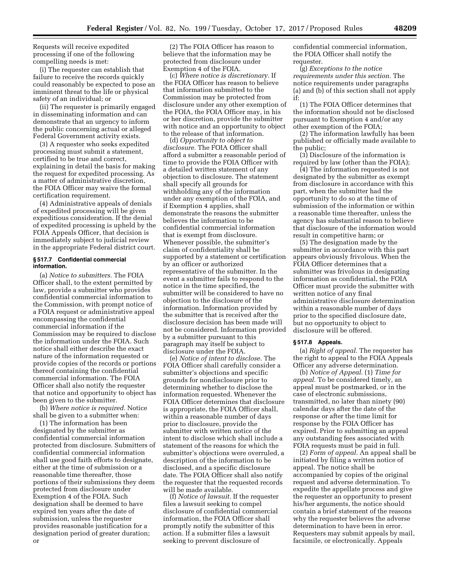Requests will receive expedited processing if one of the following compelling needs is met:

(i) The requester can establish that failure to receive the records quickly could reasonably be expected to pose an imminent threat to the life or physical safety of an individual; or

(ii) The requester is primarily engaged in disseminating information and can demonstrate that an urgency to inform the public concerning actual or alleged Federal Government activity exists.

(3) A requester who seeks expedited processing must submit a statement, certified to be true and correct, explaining in detail the basis for making the request for expedited processing. As a matter of administrative discretion, the FOIA Officer may waive the formal certification requirement.

(4) Administrative appeals of denials of expedited processing will be given expeditious consideration. If the denial of expedited processing is upheld by the FOIA Appeals Officer, that decision is immediately subject to judicial review in the appropriate Federal district court.

## **§ 517.7 Confidential commercial information.**

(a) *Notice to submitters.* The FOIA Officer shall, to the extent permitted by law, provide a submitter who provides confidential commercial information to the Commission, with prompt notice of a FOIA request or administrative appeal encompassing the confidential commercial information if the Commission may be required to disclose the information under the FOIA. Such notice shall either describe the exact nature of the information requested or provide copies of the records or portions thereof containing the confidential commercial information. The FOIA Officer shall also notify the requester that notice and opportunity to object has been given to the submitter.

(b) *Where notice is required.* Notice shall be given to a submitter when:

(1) The information has been designated by the submitter as confidential commercial information protected from disclosure. Submitters of confidential commercial information shall use good faith efforts to designate, either at the time of submission or a reasonable time thereafter, those portions of their submissions they deem protected from disclosure under Exemption 4 of the FOIA. Such designation shall be deemed to have expired ten years after the date of submission, unless the requester provides reasonable justification for a designation period of greater duration; or

(2) The FOIA Officer has reason to believe that the information may be protected from disclosure under Exemption 4 of the FOIA.

(c) *Where notice is discretionary.* If the FOIA Officer has reason to believe that information submitted to the Commission may be protected from disclosure under any other exemption of the FOIA, the FOIA Officer may, in his or her discretion, provide the submitter with notice and an opportunity to object to the release of that information.

(d) *Opportunity to object to disclosure.* The FOIA Officer shall afford a submitter a reasonable period of time to provide the FOIA Officer with a detailed written statement of any objection to disclosure. The statement shall specify all grounds for withholding any of the information under any exemption of the FOIA, and if Exemption 4 applies, shall demonstrate the reasons the submitter believes the information to be confidential commercial information that is exempt from disclosure. Whenever possible, the submitter's claim of confidentiality shall be supported by a statement or certification by an officer or authorized representative of the submitter. In the event a submitter fails to respond to the notice in the time specified, the submitter will be considered to have no objection to the disclosure of the information. Information provided by the submitter that is received after the disclosure decision has been made will not be considered. Information provided by a submitter pursuant to this paragraph may itself be subject to disclosure under the FOIA.

(e) *Notice of intent to disclose.* The FOIA Officer shall carefully consider a submitter's objections and specific grounds for nondisclosure prior to determining whether to disclose the information requested. Whenever the FOIA Officer determines that disclosure is appropriate, the FOIA Officer shall, within a reasonable number of days prior to disclosure, provide the submitter with written notice of the intent to disclose which shall include a statement of the reasons for which the submitter's objections were overruled, a description of the information to be disclosed, and a specific disclosure date. The FOIA Officer shall also notify the requester that the requested records will be made available.

(f) *Notice of lawsuit.* If the requester files a lawsuit seeking to compel disclosure of confidential commercial information, the FOIA Officer shall promptly notify the submitter of this action. If a submitter files a lawsuit seeking to prevent disclosure of

confidential commercial information, the FOIA Officer shall notify the requester.

(g) *Exceptions to the notice requirements under this section.* The notice requirements under paragraphs (a) and (b) of this section shall not apply if:

(1) The FOIA Officer determines that the information should not be disclosed pursuant to Exemption 4 and/or any other exemption of the FOIA;

(2) The information lawfully has been published or officially made available to the public;

(3) Disclosure of the information is required by law (other than the FOIA);

(4) The information requested is not designated by the submitter as exempt from disclosure in accordance with this part, when the submitter had the opportunity to do so at the time of submission of the information or within a reasonable time thereafter, unless the agency has substantial reason to believe that disclosure of the information would result in competitive harm; or

(5) The designation made by the submitter in accordance with this part appears obviously frivolous. When the FOIA Officer determines that a submitter was frivolous in designating information as confidential, the FOIA Officer must provide the submitter with written notice of any final administrative disclosure determination within a reasonable number of days prior to the specified disclosure date, but no opportunity to object to disclosure will be offered.

#### **§ 517.8 Appeals.**

(a) *Right of appeal.* The requester has the right to appeal to the FOIA Appeals Officer any adverse determination.

(b) *Notice of Appeal.* (1) *Time for appeal.* To be considered timely, an appeal must be postmarked, or in the case of electronic submissions, transmitted, no later than ninety (90) calendar days after the date of the response or after the time limit for response by the FOIA Officer has expired. Prior to submitting an appeal any outstanding fees associated with FOIA requests must be paid in full.

(2) *Form of appeal.* An appeal shall be initiated by filing a written notice of appeal. The notice shall be accompanied by copies of the original request and adverse determination. To expedite the appellate process and give the requester an opportunity to present his/her arguments, the notice should contain a brief statement of the reasons why the requester believes the adverse determination to have been in error. Requesters may submit appeals by mail, facsimile, or electronically. Appeals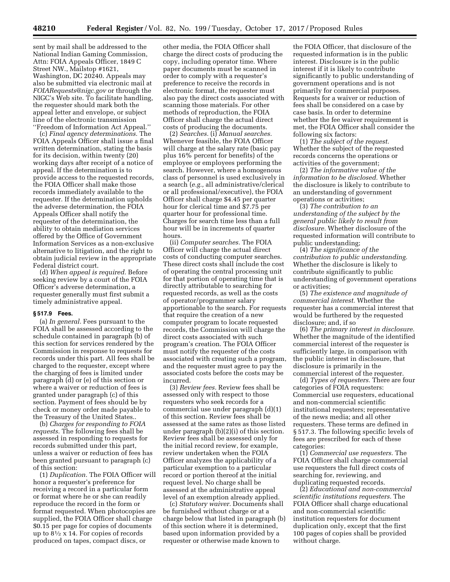sent by mail shall be addressed to the National Indian Gaming Commission, Attn: FOIA Appeals Officer, 1849 C Street NW., Mailstop #1621, Washington, DC 20240. Appeals may also be submitted via electronic mail at *[FOIARequests@nigc.gov](mailto:FOIARequests@nigc.gov)* or through the NIGC's Web site. To facilitate handling, the requester should mark both the appeal letter and envelope, or subject line of the electronic transmission ''Freedom of Information Act Appeal.''

(c) *Final agency determinations.* The FOIA Appeals Officer shall issue a final written determination, stating the basis for its decision, within twenty (20) working days after receipt of a notice of appeal. If the determination is to provide access to the requested records, the FOIA Officer shall make those records immediately available to the requester. If the determination upholds the adverse determination, the FOIA Appeals Officer shall notify the requester of the determination, the ability to obtain mediation services offered by the Office of Government Information Services as a non-exclusive alternative to litigation, and the right to obtain judicial review in the appropriate Federal district court.

(d) *When appeal is required.* Before seeking review by a court of the FOIA Officer's adverse determination, a requester generally must first submit a timely administrative appeal.

### **§ 517.9 Fees.**

(a) *In general.* Fees pursuant to the FOIA shall be assessed according to the schedule contained in paragraph (b) of this section for services rendered by the Commission in response to requests for records under this part. All fees shall be charged to the requester, except where the charging of fees is limited under paragraph (d) or (e) of this section or where a waiver or reduction of fees is granted under paragraph (c) of this section. Payment of fees should be by check or money order made payable to the Treasury of the United States..

(b) *Charges for responding to FOIA requests.* The following fees shall be assessed in responding to requests for records submitted under this part, unless a waiver or reduction of fees has been granted pursuant to paragraph (c) of this section:

(1) *Duplication.* The FOIA Officer will honor a requester's preference for receiving a record in a particular form or format where he or she can readily reproduce the record in the form or format requested. When photocopies are supplied, the FOIA Officer shall charge \$0.15 per page for copies of documents up to  $8\frac{1}{2}$  x 14. For copies of records produced on tapes, compact discs, or

other media, the FOIA Officer shall charge the direct costs of producing the copy, including operator time. Where paper documents must be scanned in order to comply with a requester's preference to receive the records in electronic format, the requester must also pay the direct costs associated with scanning those materials. For other methods of reproduction, the FOIA Officer shall charge the actual direct costs of producing the documents.

(2) *Searches.* (i) *Manual searches.*  Whenever feasible, the FOIA Officer will charge at the salary rate (basic pay plus 16% percent for benefits) of the employee or employees performing the search. However, where a homogenous class of personnel is used exclusively in a search (*e.g.,* all administrative/clerical or all professional/executive), the FOIA Officer shall charge \$4.45 per quarter hour for clerical time and \$7.75 per quarter hour for professional time. Charges for search time less than a full hour will be in increments of quarter hours.

(ii) *Computer searches.* The FOIA Officer will charge the actual direct costs of conducting computer searches. These direct costs shall include the cost of operating the central processing unit for that portion of operating time that is directly attributable to searching for requested records, as well as the costs of operator/programmer salary apportionable to the search. For requests that require the creation of a new computer program to locate requested records, the Commission will charge the direct costs associated with such program's creation. The FOIA Officer must notify the requester of the costs associated with creating such a program, and the requester must agree to pay the associated costs before the costs may be incurred.

(3) *Review fees.* Review fees shall be assessed only with respect to those requesters who seek records for a commercial use under paragraph (d)(1) of this section. Review fees shall be assessed at the same rates as those listed under paragraph (b)(2)(i) of this section. Review fees shall be assessed only for the initial record review, for example, review undertaken when the FOIA Officer analyzes the applicability of a particular exemption to a particular record or portion thereof at the initial request level. No charge shall be assessed at the administrative appeal level of an exemption already applied.

(c) *Statutory waiver.* Documents shall be furnished without charge or at a charge below that listed in paragraph (b) of this section where it is determined, based upon information provided by a requester or otherwise made known to

the FOIA Officer, that disclosure of the requested information is in the public interest. Disclosure is in the public interest if it is likely to contribute significantly to public understanding of government operations and is not primarily for commercial purposes. Requests for a waiver or reduction of fees shall be considered on a case by case basis. In order to determine whether the fee waiver requirement is met, the FOIA Officer shall consider the following six factors:

(1) *The subject of the request.*  Whether the subject of the requested records concerns the operations or activities of the government;

(2) *The informative value of the information to be disclosed.* Whether the disclosure is likely to contribute to an understanding of government operations or activities;

(3) *The contribution to an understanding of the subject by the general public likely to result from disclosure.* Whether disclosure of the requested information will contribute to public understanding;

(4) *The significance of the contribution to public understanding.*  Whether the disclosure is likely to contribute significantly to public understanding of government operations or activities;

(5) *The existence and magnitude of commercial interest.* Whether the requester has a commercial interest that would be furthered by the requested disclosure; and, if so

(6) *The primary interest in disclosure.*  Whether the magnitude of the identified commercial interest of the requester is sufficiently large, in comparison with the public interest in disclosure, that disclosure is primarily in the commercial interest of the requester.

(d) *Types of requesters.* There are four categories of FOIA requesters: Commercial use requesters, educational and non-commercial scientific institutional requesters; representative of the news media; and all other requesters. These terms are defined in § 517.3. The following specific levels of fees are prescribed for each of these categories:

(1) *Commercial use requesters.* The FOIA Officer shall charge commercial use requesters the full direct costs of searching for, reviewing, and duplicating requested records.

(2) *Educational and non-commercial scientific institutions requesters.* The FOIA Officer shall charge educational and non-commercial scientific institution requesters for document duplication only, except that the first 100 pages of copies shall be provided without charge.